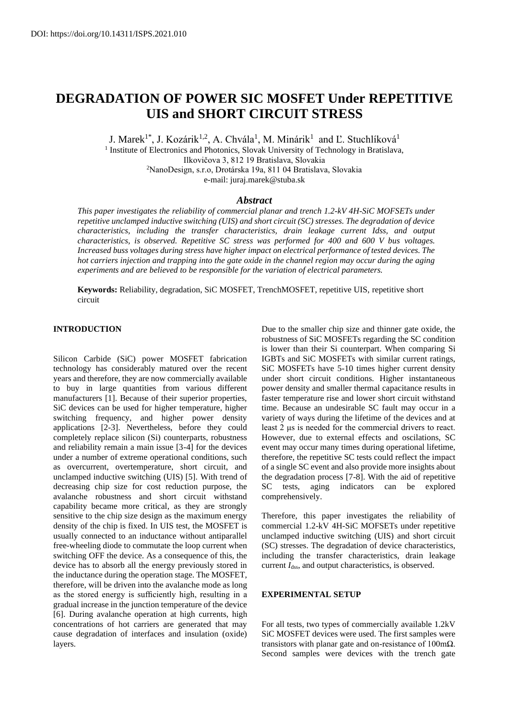# **DEGRADATION OF POWER SIC MOSFET Under REPETITIVE UIS and SHORT CIRCUIT STRESS**

J. Marek<sup>1\*</sup>, J. Kozárik<sup>1,2</sup>, A. Chvála<sup>1</sup>, M. Minárik<sup>1</sup> and Ľ. Stuchlíková<sup>1</sup> <sup>1</sup> Institute of Electronics and Photonics, Slovak University of Technology in Bratislava, Ilkovičova 3, 812 19 Bratislava, Slovakia <sup>2</sup>NanoDesign, s.r.o, Drotárska 19a, 811 04 Bratislava, Slovakia

e-mail: juraj.marek@stuba.sk

## *Abstract*

*This paper investigates the reliability of commercial planar and trench 1.2-kV 4H-SiC MOFSETs under repetitive unclamped inductive switching (UIS) and short circuit (SC) stresses. The degradation of device characteristics, including the transfer characteristics, drain leakage current Idss, and output characteristics, is observed. Repetitive SC stress was performed for 400 and 600 V bus voltages. Increased buss voltages during stress have higher impact on electrical performance of tested devices. The hot carriers injection and trapping into the gate oxide in the channel region may occur during the aging experiments and are believed to be responsible for the variation of electrical parameters.*

**Keywords:** Reliability, degradation, SiC MOSFET, TrenchMOSFET, repetitive UIS, repetitive short circuit

# **INTRODUCTION**

Silicon Carbide (SiC) power MOSFET fabrication technology has considerably matured over the recent years and therefore, they are now commercially available to buy in large quantities from various different manufacturers [1]. Because of their superior properties, SiC devices can be used for higher temperature, higher switching frequency, and higher power density applications [2-3]. Nevertheless, before they could completely replace silicon (Si) counterparts, robustness and reliability remain a main issue [3-4] for the devices under a number of extreme operational conditions, such as overcurrent, overtemperature, short circuit, and unclamped inductive switching (UIS) [5]. With trend of decreasing chip size for cost reduction purpose, the avalanche robustness and short circuit withstand capability became more critical, as they are strongly sensitive to the chip size design as the maximum energy density of the chip is fixed. In UIS test, the MOSFET is usually connected to an inductance without antiparallel free-wheeling diode to commutate the loop current when switching OFF the device. As a consequence of this, the device has to absorb all the energy previously stored in the inductance during the operation stage. The MOSFET, therefore, will be driven into the avalanche mode as long as the stored energy is sufficiently high, resulting in a gradual increase in the junction temperature of the device [6]. During avalanche operation at high currents, high concentrations of hot carriers are generated that may cause degradation of interfaces and insulation (oxide) layers.

Due to the smaller chip size and thinner gate oxide, the robustness of SiC MOSFETs regarding the SC condition is lower than their Si counterpart. When comparing Si IGBTs and SiC MOSFETs with similar current ratings, SiC MOSFETs have 5-10 times higher current density under short circuit conditions. Higher instantaneous power density and smaller thermal capacitance results in faster temperature rise and lower short circuit withstand time. Because an undesirable SC fault may occur in a variety of ways during the lifetime of the devices and at least 2 μs is needed for the commercial drivers to react. However, due to external effects and oscilations, SC event may occur many times during operational lifetime, therefore, the repetitive SC tests could reflect the impact of a single SC event and also provide more insights about the degradation process [7-8]. With the aid of repetitive SC tests, aging indicators can be explored comprehensively.

Therefore, this paper investigates the reliability of commercial 1.2-kV 4H-SiC MOFSETs under repetitive unclamped inductive switching (UIS) and short circuit (SC) stresses. The degradation of device characteristics, including the transfer characteristics, drain leakage current *I*dss, and output characteristics, is observed.

## **EXPERIMENTAL SETUP**

For all tests, two types of commercially available 1.2kV SiC MOSFET devices were used. The first samples were transistors with planar gate and on-resistance of 100mΩ. Second samples were devices with the trench gate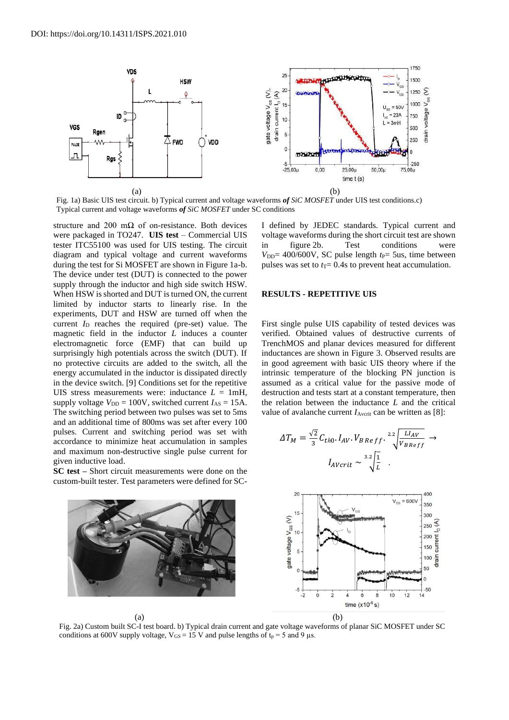

Fig. 1a) Basic UIS test circuit. b) Typical current and voltage waveforms *of SiC MOSFET* under UIS test conditions.c) Typical current and voltage waveforms *of SiC MOSFET* under SC conditions

structure and 200 m $\Omega$  of on-resistance. Both devices were packaged in TO247. **UIS test** – Commercial UIS tester ITC55100 was used for UIS testing. The circuit diagram and typical voltage and current waveforms during the test for Si MOSFET are shown in Figure 1a-b. The device under test (DUT) is connected to the power supply through the inductor and high side switch HSW. When HSW is shorted and DUT is turned ON, the current limited by inductor starts to linearly rise. In the experiments, DUT and HSW are turned off when the current  $I_D$  reaches the required (pre-set) value. The magnetic field in the inductor *L* induces a counter electromagnetic force (EMF) that can build up surprisingly high potentials across the switch (DUT). If no protective circuits are added to the switch, all the energy accumulated in the inductor is dissipated directly in the device switch. [9] Conditions set for the repetitive UIS stress measurements were: inductance  $L = 1mH$ , supply voltage  $V_{\text{DD}} = 100V$ , switched current  $I_{\text{AS}} = 15A$ . The switching period between two pulses was set to 5ms and an additional time of 800ms was set after every 100 pulses. Current and switching period was set with accordance to minimize heat accumulation in samples and maximum non-destructive single pulse current for given inductive load.

**SC test –** Short circuit measurements were done on the custom-built tester. Test parameters were defined for SC-

I defined by JEDEC standards. Typical current and voltage waveforms during the short circuit test are shown in figure 2b. Test conditions were  $V_{DD}$ = 400/600V, SC pulse length  $t_P$ = 5us, time between pulses was set to  $t_T$ = 0.4s to prevent heat accumulation.

### **RESULTS - REPETITIVE UIS**

First single pulse UIS capability of tested devices was verified. Obtained values of destructive currents of TrenchMOS and planar devices measured for different inductances are shown in Figure 3. Observed results are in good agreement with basic UIS theory where if the intrinsic temperature of the blocking PN junction is assumed as a critical value for the passive mode of destruction and tests start at a constant temperature, then the relation between the inductance *L* and the critical value of avalanche current *I*<sub>Avcrit</sub> can be written as [8]:

$$
\Delta T_M = \frac{\sqrt{2}}{3} C_{th0} I_{AV} V_{B \, Ref \, f} \xrightarrow{2.2} \sqrt{\frac{LI_{AV}}{V_{B \, Ref \, f}}} \rightarrow
$$

$$
I_{AVcrit} \sim \sqrt[3.2]{\frac{1}{L}}.
$$



Fig. 2a) Custom built SC-I test board. b) Typical drain current and gate voltage waveforms of planar SiC MOSFET under SC conditions at 600V supply voltage,  $V_{GS} = 15$  V and pulse lengths of  $t_p = 5$  and 9 µs.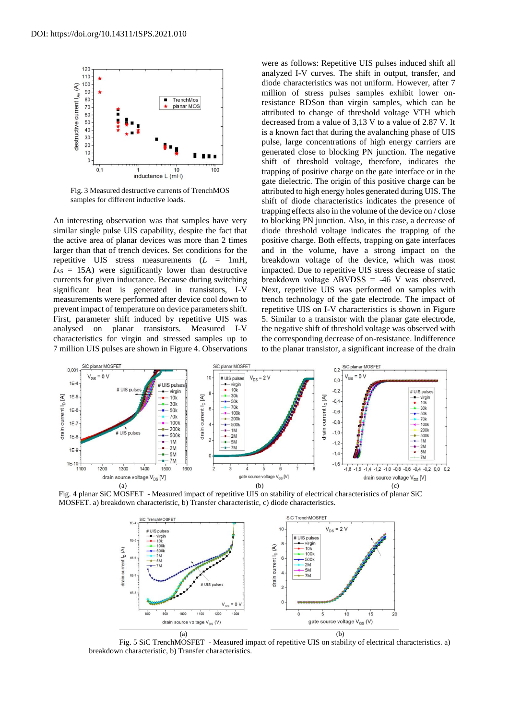

Fig. 3 Measured destructive currents of TrenchMOS samples for different inductive loads.

An interesting observation was that samples have very similar single pulse UIS capability, despite the fact that the active area of planar devices was more than 2 times larger than that of trench devices. Set conditions for the repetitive UIS stress measurements (*L* = 1mH, *I*AS = 15A) were significantly lower than destructive currents for given inductance. Because during switching significant heat is generated in transistors, I-V measurements were performed after device cool down to prevent impact of temperature on device parameters shift. First, parameter shift induced by repetitive UIS was analysed on planar transistors. Measured I-V characteristics for virgin and stressed samples up to 7 million UIS pulses are shown in Figure 4. Observations were as follows: Repetitive UIS pulses induced shift all analyzed I-V curves. The shift in output, transfer, and diode characteristics was not uniform. However, after 7 million of stress pulses samples exhibit lower onresistance RDSon than virgin samples, which can be attributed to change of threshold voltage VTH which decreased from a value of 3,13 V to a value of 2.87 V. It is a known fact that during the avalanching phase of UIS pulse, large concentrations of high energy carriers are generated close to blocking PN junction. The negative shift of threshold voltage, therefore, indicates the trapping of positive charge on the gate interface or in the gate dielectric. The origin of this positive charge can be attributed to high energy holes generated during UIS. The shift of diode characteristics indicates the presence of trapping effects also in the volume of the device on / close to blocking PN junction. Also, in this case, a decrease of diode threshold voltage indicates the trapping of the positive charge. Both effects, trapping on gate interfaces and in the volume, have a strong impact on the breakdown voltage of the device, which was most impacted. Due to repetitive UIS stress decrease of static breakdown voltage  $\triangle$ BVDSS = -46 V was observed. Next, repetitive UIS was performed on samples with trench technology of the gate electrode. The impact of repetitive UIS on I-V characteristics is shown in Figure 5. Similar to a transistor with the planar gate electrode, the negative shift of threshold voltage was observed with the corresponding decrease of on-resistance. Indifference to the planar transistor, a significant increase of the drain



Fig. 4 planar SiC MOSFET - Measured impact of repetitive UIS on stability of electrical characteristics of planar SiC MOSFET. a) breakdown characteristic, b) Transfer characteristic, c) diode characteristics.



Fig. 5 SiC TrenchMOSFET - Measured impact of repetitive UIS on stability of electrical characteristics. a) breakdown characteristic, b) Transfer characteristics.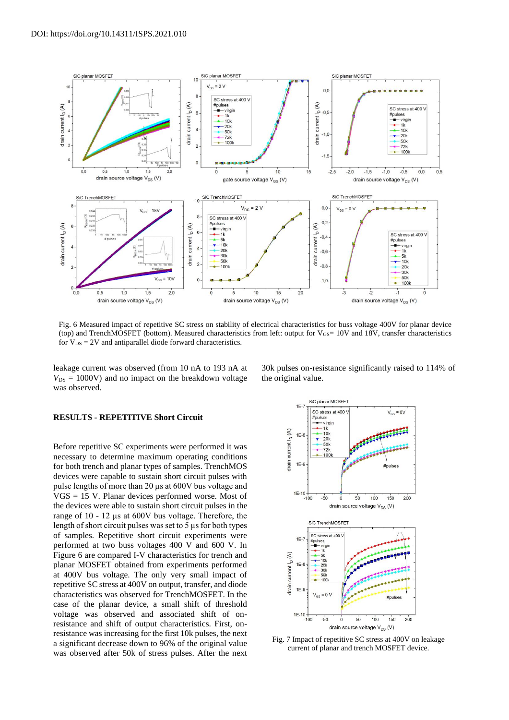

Fig. 6 Measured impact of repetitive SC stress on stability of electrical characteristics for buss voltage 400V for planar device (top) and TrenchMOSFET (bottom). Measured characteristics from left: output for  $V_{GS} = 10V$  and 18V, transfer characteristics for  $V_{DS} = 2V$  and antiparallel diode forward characteristics.

leakage current was observed (from 10 nA to 193 nA at  $V_{DS} = 1000$ V) and no impact on the breakdown voltage was observed.

#### **RESULTS - REPETITIVE Short Circuit**

Before repetitive SC experiments were performed it was necessary to determine maximum operating conditions for both trench and planar types of samples. TrenchMOS devices were capable to sustain short circuit pulses with pulse lengths of more than 20 µs at 600V bus voltage and  $VGS = 15$  V. Planar devices performed worse. Most of the devices were able to sustain short circuit pulses in the range of 10 - 12 µs at 600V bus voltage. Therefore, the length of short circuit pulses was set to 5  $\mu$ s for both types of samples. Repetitive short circuit experiments were performed at two buss voltages 400 V and 600 V. In Figure 6 are compared I-V characteristics for trench and planar MOSFET obtained from experiments performed at 400V bus voltage. The only very small impact of repetitive SC stress at 400V on output, transfer, and diode characteristics was observed for TrenchMOSFET. In the case of the planar device, a small shift of threshold voltage was observed and associated shift of onresistance and shift of output characteristics. First, onresistance was increasing for the first 10k pulses, the next a significant decrease down to 96% of the original value was observed after 50k of stress pulses. After the next

30k pulses on-resistance significantly raised to 114% of the original value.



Fig. 7 Impact of repetitive SC stress at 400V on leakage current of planar and trench MOSFET device.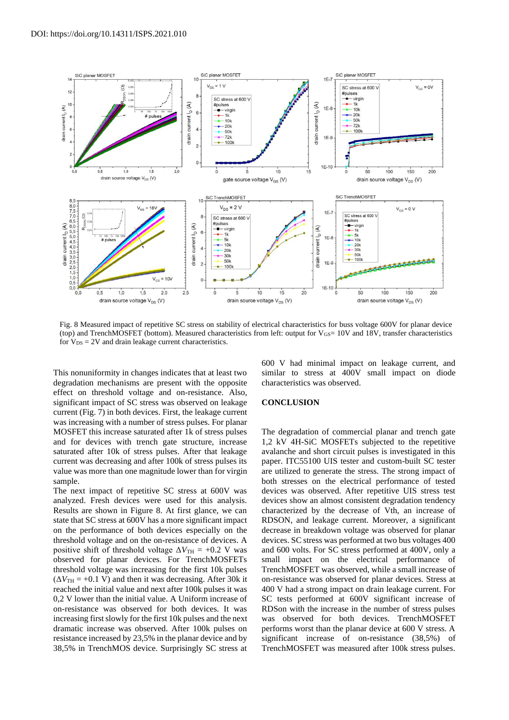

Fig. 8 Measured impact of repetitive SC stress on stability of electrical characteristics for buss voltage 600V for planar device (top) and TrenchMOSFET (bottom). Measured characteristics from left: output for  $V_{GS}$ = 10V and 18V, transfer characteristics for  $V_{DS} = 2V$  and drain leakage current characteristics.

This nonuniformity in changes indicates that at least two degradation mechanisms are present with the opposite effect on threshold voltage and on-resistance. Also, significant impact of SC stress was observed on leakage current (Fig. 7) in both devices. First, the leakage current was increasing with a number of stress pulses. For planar MOSFET this increase saturated after 1k of stress pulses and for devices with trench gate structure, increase saturated after 10k of stress pulses. After that leakage current was decreasing and after 100k of stress pulses its value was more than one magnitude lower than for virgin sample.

The next impact of repetitive SC stress at 600V was analyzed. Fresh devices were used for this analysis. Results are shown in Figure 8. At first glance, we can state that SC stress at 600V has a more significant impact on the performance of both devices especially on the threshold voltage and on the on-resistance of devices. A positive shift of threshold voltage  $\Delta V_{\text{TH}} = +0.2$  V was observed for planar devices. For TrenchMOSFETs threshold voltage was increasing for the first 10k pulses  $(\Delta V_{\text{TH}} = +0.1 \text{ V})$  and then it was decreasing. After 30k it reached the initial value and next after 100k pulses it was 0,2 V lower than the initial value. A Uniform increase of on-resistance was observed for both devices. It was increasing first slowly for the first 10k pulses and the next dramatic increase was observed. After 100k pulses on resistance increased by 23,5% in the planar device and by 38,5% in TrenchMOS device. Surprisingly SC stress at 600 V had minimal impact on leakage current, and similar to stress at 400V small impact on diode characteristics was observed.

#### **CONCLUSION**

The degradation of commercial planar and trench gate 1,2 kV 4H-SiC MOSFETs subjected to the repetitive avalanche and short circuit pulses is investigated in this paper. ITC55100 UIS tester and custom-built SC tester are utilized to generate the stress. The strong impact of both stresses on the electrical performance of tested devices was observed. After repetitive UIS stress test devices show an almost consistent degradation tendency characterized by the decrease of Vth, an increase of RDSON, and leakage current. Moreover, a significant decrease in breakdown voltage was observed for planar devices. SC stress was performed at two bus voltages 400 and 600 volts. For SC stress performed at 400V, only a small impact on the electrical performance of TrenchMOSFET was observed, while a small increase of on-resistance was observed for planar devices. Stress at 400 V had a strong impact on drain leakage current. For SC tests performed at 600V significant increase of RDSon with the increase in the number of stress pulses was observed for both devices. TrenchMOSFET performs worst than the planar device at 600 V stress. A significant increase of on-resistance (38,5%) of TrenchMOSFET was measured after 100k stress pulses.